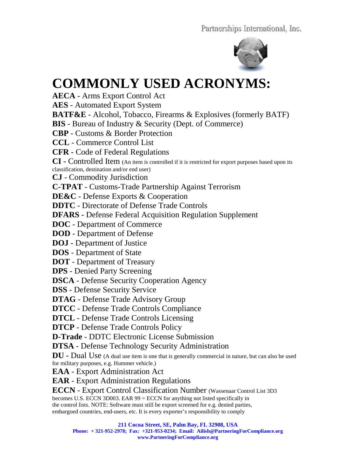

## **COMMONLY USED ACRONYMS:**

**AECA** - Arms Export Control Act

**AES** - Automated Export System

**BATF&E** - Alcohol, Tobacco, Firearms & Explosives (formerly BATF)

**BIS** - Bureau of Industry & Security (Dept. of Commerce)

**CBP** - Customs & Border Protection

**CCL** - Commerce Control List

**CFR** - Code of Federal Regulations

**CI -** Controlled Item (An item is controlled if it is restricted for export purposes based upon its classification, destination and/or end user)

**CJ** - Commodity Jurisdiction

**C-TPAT** - Customs-Trade Partnership Against Terrorism

**DE&C** - Defense Exports & Cooperation

**DDTC** - Directorate of Defense Trade Controls

**DFARS** - Defense Federal Acquisition Regulation Supplement

**DOC** - Department of Commerce

**DOD** - Department of Defense

**DOJ** - Department of Justice

**DOS** - Department of State

**DOT** - Department of Treasury

**DPS** - Denied Party Screening

**DSCA** - Defense Security Cooperation Agency

**DSS** - Defense Security Service

**DTAG** - Defense Trade Advisory Group

**DTCC** - Defense Trade Controls Compliance

**DTCL** - Defense Trade Controls Licensing

**DTCP** - Defense Trade Controls Policy

**D-Trade** - DDTC Electronic License Submission

**DTSA** - Defense Technology Security Administration

**DU** - Dual Use (A dual use item is one that is generally commercial in nature, but can also be used for military purposes, e.g. Hummer vehicle.)

**EAA** - Export Administration Act

**EAR** - Export Administration Regulations

**ECCN** - Export Control Classification Number (Wassenaar Control List 3D3

becomes U.S. ECCN 3D003. EAR 99 = ECCN for anything not listed specifically in the control lists. NOTE: Software must still be export screened for e.g. denied parties, embargoed countries, end-users, etc. It is every exporter's responsibility to comply

**211 Cocoa Street, SE, Palm Bay, FL 32908, USA**

**Phone: + 321-952-2978; Fax: +321-953-0234; Email: Ailish@PartneringForCompliance.org www.PartneringForCompliance.org**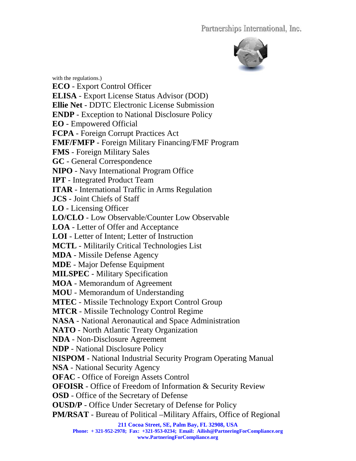

**211 Cocoa Street, SE, Palm Bay, FL 32908, USA Phone: + 321-952-2978; Fax: +321-953-0234; Email: Ailish@PartneringForCompliance.org**  with the regulations.) **ECO** - Export Control Officer **ELISA** - Export License Status Advisor (DOD) **Ellie Net** - DDTC Electronic License Submission **ENDP** - Exception to National Disclosure Policy **EO** - Empowered Official **FCPA** - Foreign Corrupt Practices Act **FMF/FMFP** - Foreign Military Financing/FMF Program **FMS** - Foreign Military Sales **GC** - General Correspondence **NIPO** - Navy International Program Office **IPT** - Integrated Product Team **ITAR** - International Traffic in Arms Regulation **JCS** - Joint Chiefs of Staff **LO** - Licensing Officer **LO/CLO** - Low Observable/Counter Low Observable **LOA** - Letter of Offer and Acceptance **LOI** - Letter of Intent; Letter of Instruction **MCTL** - Militarily Critical Technologies List **MDA** - Missile Defense Agency **MDE** - Major Defense Equipment **MILSPEC** - Military Specification **MOA** - Memorandum of Agreement **MOU** - Memorandum of Understanding **MTEC** - Missile Technology Export Control Group **MTCR** - Missile Technology Control Regime **NASA** - National Aeronautical and Space Administration **NATO** - North Atlantic Treaty Organization **NDA** - Non-Disclosure Agreement **NDP** - National Disclosure Policy **NISPOM** - National Industrial Security Program Operating Manual **NSA** - National Security Agency **OFAC** - Office of Foreign Assets Control **OFOISR** - Office of Freedom of Information & Security Review **OSD** - Office of the Secretary of Defense **OUSD/P** - Office Under Secretary of Defense for Policy **PM/RSAT** - Bureau of Political –Military Affairs, Office of Regional

**www.PartneringForCompliance.org**